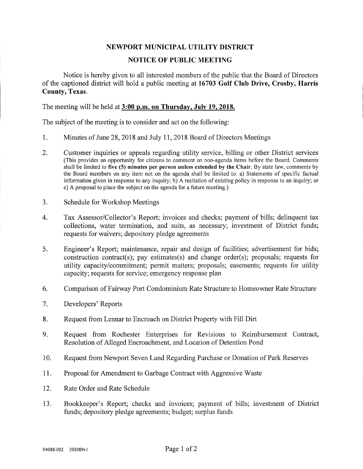## NEWPORT MUNICIPAL UTILITY DISTRICT

## NOTICE OF PUBLIC MEETING

Notice is hereby given to all interested members of the public that the Board of Directors of the captioned district will hold a public meeting at 16703 Golf Club Drive, Crosby, Harris County, Texas.

The meeting will be held at 3:00 p.m. on Thursday, July 19, 2018.

The subject of the meeting is to consider and act on the following:

- 1. Minutes of June 28, 2018 and July 11, 2018 Board of Directors Meetings
- 2. Customer inquiries or appeals regarding utility service, billing or other District services (This provides an opportunity for citizens to comment on non-agenda items before the Board. Comments shall be limited to five (5) minutes per person unless extended by the Chair. By state law, comments by the Board members on any item not on the agenda shall be limited to: a) Statements of specific factual information given in response to any inquiry; b) A recitation of existing policy in response to an inquiry; or c) A proposal to place the subject on the agenda for a future meeting.)
- 3. Schedule for Workshop Meetings
- 4. Tax Assessor/Collector's Report; invoices and checks; payment of bills; delinquent tax collections, water termination, and suits, as necessary; investment of District funds; requests for waivers; depository pledge agreements
- 5. Engineer's Report; maintenance, repair and design of facilities; advertisement for bids; construction contract(s); pay estimates(s) and change order(s); proposals; requests for utility capacity/commitment; permit matters; proposals; easements; requests for utility capacity; requests for service; emergency response plan
- 6. Comparison of Fairway Port Condominium Rate Structure to Homeowner Rate Structure
- 7. Developers' Reports
- 8. Request from Lennar to Encroach on District Property with Fill Dirt
- 9. Request from Rochester Enterprises for Revisions to Reimbursement Contract, Resolution of Alleged Encroachment, and Location of Detention Pond
- 10. Request from Newport Seven Land Regarding Purchase or Donation of Park Reserves
- 11. Proposal for Amendment to Garbage Contract with Aggressive Waste
- 12. Rate Order and Rate Schedule
- 13. Bookkeeper's Report; checks and invoices; payment of bills; investment of District funds; depository pledge agreements; budget; surplus funds